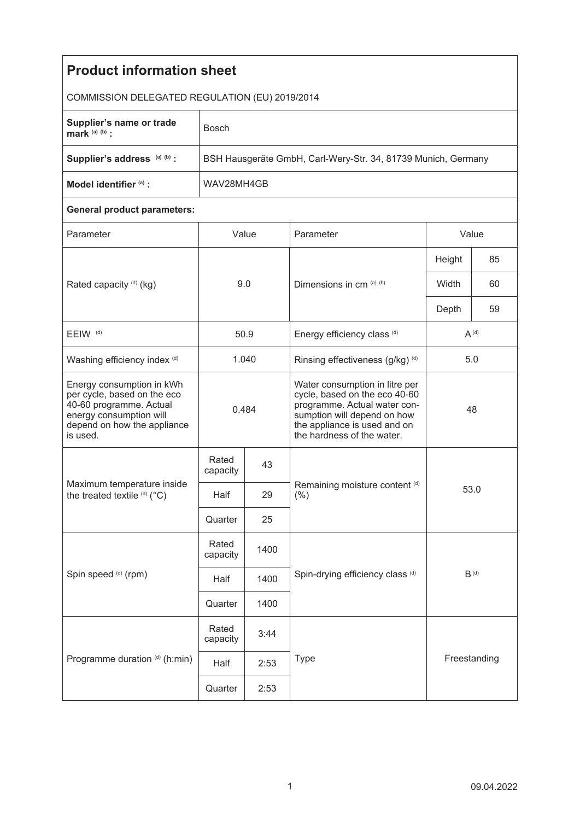| <b>Product information sheet</b>                                                                                                                          |                                                               |      |                                                                                                                                                                                              |           |      |  |  |  |
|-----------------------------------------------------------------------------------------------------------------------------------------------------------|---------------------------------------------------------------|------|----------------------------------------------------------------------------------------------------------------------------------------------------------------------------------------------|-----------|------|--|--|--|
| COMMISSION DELEGATED REGULATION (EU) 2019/2014                                                                                                            |                                                               |      |                                                                                                                                                                                              |           |      |  |  |  |
| Supplier's name or trade<br>mark $(a)$ $(b)$ :                                                                                                            | <b>Bosch</b>                                                  |      |                                                                                                                                                                                              |           |      |  |  |  |
| Supplier's address (a) (b) :                                                                                                                              | BSH Hausgeräte GmbH, Carl-Wery-Str. 34, 81739 Munich, Germany |      |                                                                                                                                                                                              |           |      |  |  |  |
| Model identifier (a) :                                                                                                                                    | WAV28MH4GB                                                    |      |                                                                                                                                                                                              |           |      |  |  |  |
| <b>General product parameters:</b>                                                                                                                        |                                                               |      |                                                                                                                                                                                              |           |      |  |  |  |
| Parameter                                                                                                                                                 | Value                                                         |      | Parameter                                                                                                                                                                                    | Value     |      |  |  |  |
| Rated capacity (d) (kg)                                                                                                                                   | 9.0                                                           |      | Dimensions in cm (a) (b)                                                                                                                                                                     | Height    | 85   |  |  |  |
|                                                                                                                                                           |                                                               |      |                                                                                                                                                                                              | Width     | 60   |  |  |  |
|                                                                                                                                                           |                                                               |      |                                                                                                                                                                                              | Depth     | 59   |  |  |  |
| EEIW <sup>(d)</sup>                                                                                                                                       | 50.9                                                          |      | Energy efficiency class (d)                                                                                                                                                                  | $A^{(d)}$ |      |  |  |  |
| Washing efficiency index (d)                                                                                                                              | 1.040                                                         |      | Rinsing effectiveness (g/kg) (d)                                                                                                                                                             | 5.0       |      |  |  |  |
| Energy consumption in kWh<br>per cycle, based on the eco<br>40-60 programme. Actual<br>energy consumption will<br>depend on how the appliance<br>is used. | 0.484                                                         |      | Water consumption in litre per<br>cycle, based on the eco 40-60<br>programme. Actual water con-<br>sumption will depend on how<br>the appliance is used and on<br>the hardness of the water. | 48        |      |  |  |  |
| Maximum temperature inside<br>the treated textile (d) (°C)                                                                                                | Rated<br>capacity                                             | 43   |                                                                                                                                                                                              |           |      |  |  |  |
|                                                                                                                                                           | Half                                                          | 29   | Remaining moisture content (d)<br>$(\% )$                                                                                                                                                    |           | 53.0 |  |  |  |
|                                                                                                                                                           | Quarter                                                       | 25   |                                                                                                                                                                                              |           |      |  |  |  |
| Spin speed (d) (rpm)                                                                                                                                      | Rated<br>capacity                                             | 1400 |                                                                                                                                                                                              |           |      |  |  |  |
|                                                                                                                                                           | Half                                                          | 1400 | Spin-drying efficiency class (d)                                                                                                                                                             | $B^{(d)}$ |      |  |  |  |
|                                                                                                                                                           | Quarter                                                       | 1400 |                                                                                                                                                                                              |           |      |  |  |  |
| Programme duration (d) (h:min)                                                                                                                            | Rated<br>capacity                                             | 3:44 |                                                                                                                                                                                              |           |      |  |  |  |
|                                                                                                                                                           | Half                                                          | 2:53 | Freestanding<br><b>Type</b>                                                                                                                                                                  |           |      |  |  |  |
|                                                                                                                                                           | Quarter                                                       | 2:53 |                                                                                                                                                                                              |           |      |  |  |  |